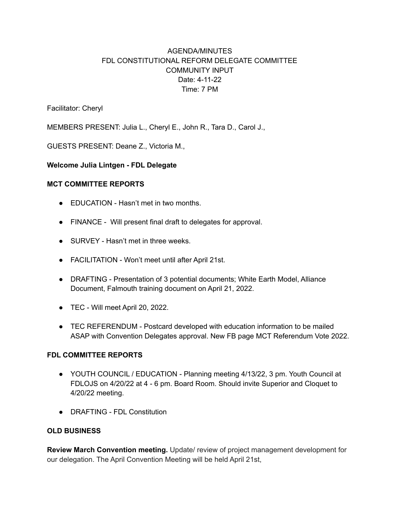# AGENDA/MINUTES FDL CONSTITUTIONAL REFORM DELEGATE COMMITTEE COMMUNITY INPUT Date: 4-11-22 Time: 7 PM

Facilitator: Cheryl

MEMBERS PRESENT: Julia L., Cheryl E., John R., Tara D., Carol J.,

GUESTS PRESENT: Deane Z., Victoria M.,

## **Welcome Julia Lintgen - FDL Delegate**

#### **MCT COMMITTEE REPORTS**

- EDUCATION Hasn't met in two months.
- FINANCE Will present final draft to delegates for approval.
- SURVEY Hasn't met in three weeks.
- FACILITATION Won't meet until after April 21st.
- DRAFTING Presentation of 3 potential documents; White Earth Model, Alliance Document, Falmouth training document on April 21, 2022.
- TEC Will meet April 20, 2022.
- TEC REFERENDUM Postcard developed with education information to be mailed ASAP with Convention Delegates approval. New FB page MCT Referendum Vote 2022.

#### **FDL COMMITTEE REPORTS**

- YOUTH COUNCIL / EDUCATION Planning meeting 4/13/22, 3 pm. Youth Council at FDLOJS on 4/20/22 at 4 - 6 pm. Board Room. Should invite Superior and Cloquet to 4/20/22 meeting.
- DRAFTING FDL Constitution

## **OLD BUSINESS**

**Review March Convention meeting.** Update/ review of project management development for our delegation. The April Convention Meeting will be held April 21st,